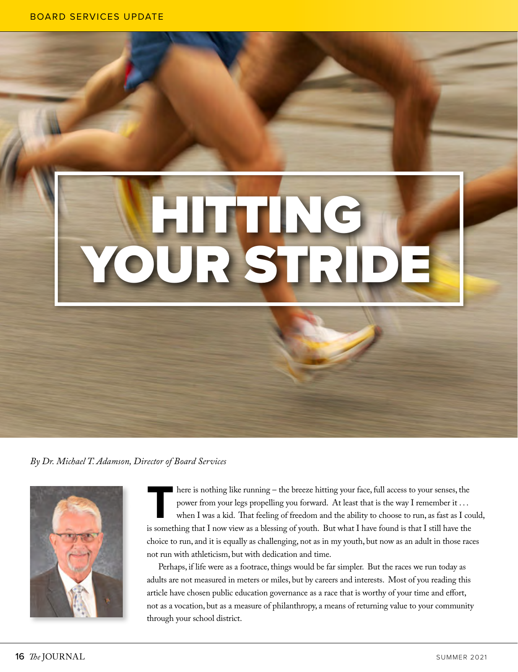## HITTING YOUR STRIDE

*By Dr. Michael T. Adamson, Director of Board Services*



There is nothing like running – the breeze hitting your face, full access to your senses, the<br>power from your legs propelling you forward. At least that is the way I remember it ...<br>when I was a kid. That feeling of freedo power from your legs propelling you forward. At least that is the way I remember it . . . when I was a kid. That feeling of freedom and the ability to choose to run, as fast as I could, is something that I now view as a blessing of youth. But what I have found is that I still have the choice to run, and it is equally as challenging, not as in my youth, but now as an adult in those races not run with athleticism, but with dedication and time.

Perhaps, if life were as a footrace, things would be far simpler. But the races we run today as adults are not measured in meters or miles, but by careers and interests. Most of you reading this article have chosen public education governance as a race that is worthy of your time and effort, not as a vocation, but as a measure of philanthropy, a means of returning value to your community through your school district.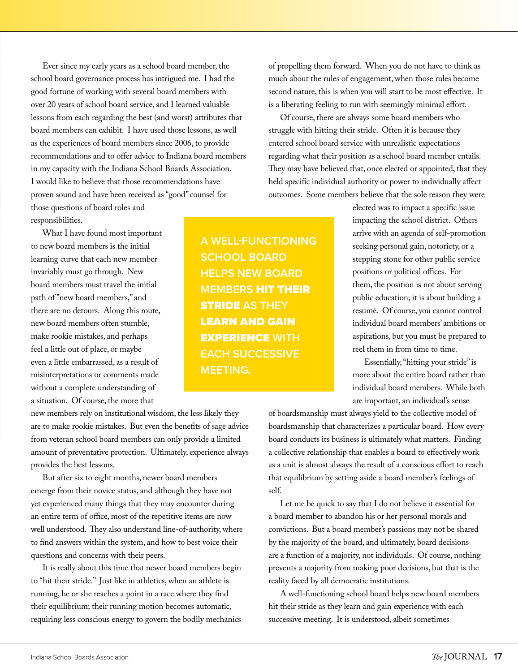Ever since my early years as a school board member, the school board governance process has intrigued me. I had the good fortune of working with several board members with over 20 years of school board service, and I learned valuable lessons from each regarding the best (and worst) attributes that board members can exhibit. I have used those lessons, as well as the experiences of board members since 2006, to provide recommendations and to offer advice to Indiana board members in my capacity with the Indiana School Boards Association. I would like to believe that those recommendations have proven sound and have been received as "good" counsel for those questions of board roles and responsibilities.

What I have found most important to new board members is the initial learning curve that each new member invariably must go through. New board members must travel the initial path of "new board members," and there are no detours. Along this route, new board members often stumble, make rookie mistakes, and perhaps feel a little out of place, or maybe even a little embarrassed, as a result of misinterpretations or comments made without a complete understanding of a situation. Of course, the more that

new members rely on institutional wisdom, the less likely they are to make rookie mistakes. But even the benefits of sage advice from veteran school board members can only provide a limited amount of preventative protection. Ultimately, experience always provides the best lessons.

But after six to eight months, newer board members emerge from their novice status, and although they have not yet experienced many things that they may encounter during an entire term of office, most of the repetitive items are now well understood. They also understand line-of-authority, where to find answers within the system, and how to best voice their questions and concerns with their peers.

It is really about this time that newer board members begin to "hit their stride." Just like in athletics, when an athlete is running, he or she reaches a point in a race where they find their equilibrium; their running motion becomes automatic, requiring less conscious energy to govern the bodily mechanics

**A WELL-FUNCTIONING SCHOOL BOARD HELPS NEW BOARD MEMBERS** HIT THEIR STRIDE **AS THEY**  LEARN AND GAIN EXPERIENCE **WITH EACH SUCCESSIVE MEETING.**

of propelling them forward. When you do not have to think as much about the rules of engagement, when those rules become second nature, this is when you will start to be most effective. It is a liberating feeling to run with seemingly minimal effort.

Of course, there are always some board members who struggle with hitting their stride. Often it is because they entered school board service with unrealistic expectations regarding what their position as a school board member entails. They may have believed that, once elected or appointed, that they held specific individual authority or power to individually affect outcomes. Some members believe that the sole reason they were

> elected was to impact a specific issue impacting the school district. Others arrive with an agenda of self-promotion seeking personal gain, notoriety, or a stepping stone for other public service positions or political offices. For them, the position is not about serving public education; it is about building a resumè. Of course, you cannot control individual board members' ambitions or aspirations, but you must be prepared to reel them in from time to time.

> Essentially, "hitting your stride" is more about the entire board rather than individual board members. While both are important, an individual's sense

of boardsmanship must always yield to the collective model of boardsmanship that characterizes a particular board. How every board conducts its business is ultimately what matters. Finding a collective relationship that enables a board to effectively work as a unit is almost always the result of a conscious effort to reach that equilibrium by setting aside a board member's feelings of self.

Let me be quick to say that I do not believe it essential for a board member to abandon his or her personal morals and convictions. But a board member's passions may not be shared by the majority of the board, and ultimately, board decisions are a function of a majority, not individuals. Of course, nothing prevents a majority from making poor decisions, but that is the reality faced by all democratic institutions.

A well-functioning school board helps new board members hit their stride as they learn and gain experience with each successive meeting. It is understood, albeit sometimes